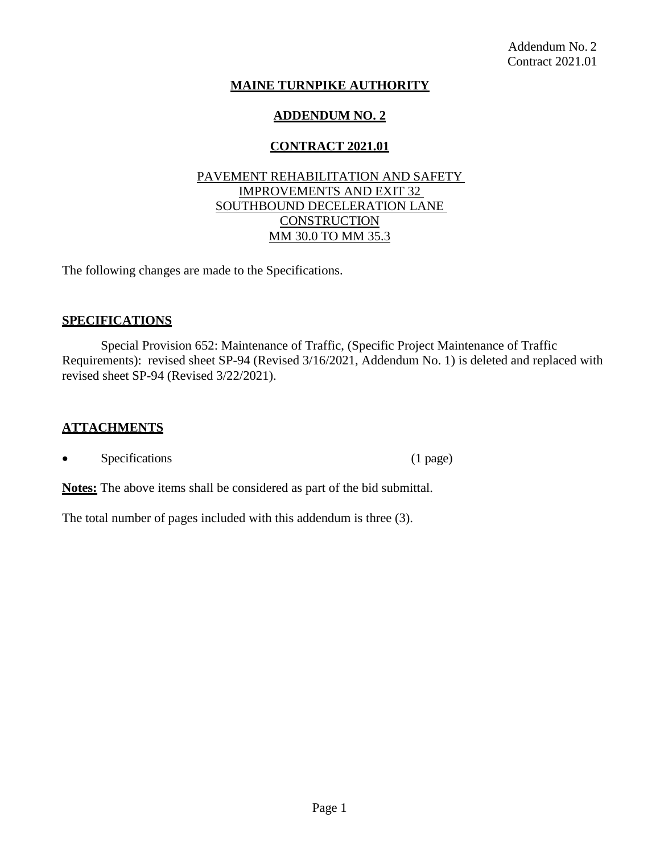# **MAINE TURNPIKE AUTHORITY**

# **ADDENDUM NO. 2**

# **CONTRACT 2021.01**

# PAVEMENT REHABILITATION AND SAFETY IMPROVEMENTS AND EXIT 32 SOUTHBOUND DECELERATION LANE **CONSTRUCTION** MM 30.0 TO MM 35.3

The following changes are made to the Specifications.

# **SPECIFICATIONS**

Special Provision 652: Maintenance of Traffic, (Specific Project Maintenance of Traffic Requirements): revised sheet SP-94 (Revised 3/16/2021, Addendum No. 1) is deleted and replaced with revised sheet SP-94 (Revised 3/22/2021).

### **ATTACHMENTS**

Specifications (1 page)

**Notes:** The above items shall be considered as part of the bid submittal.

The total number of pages included with this addendum is three (3).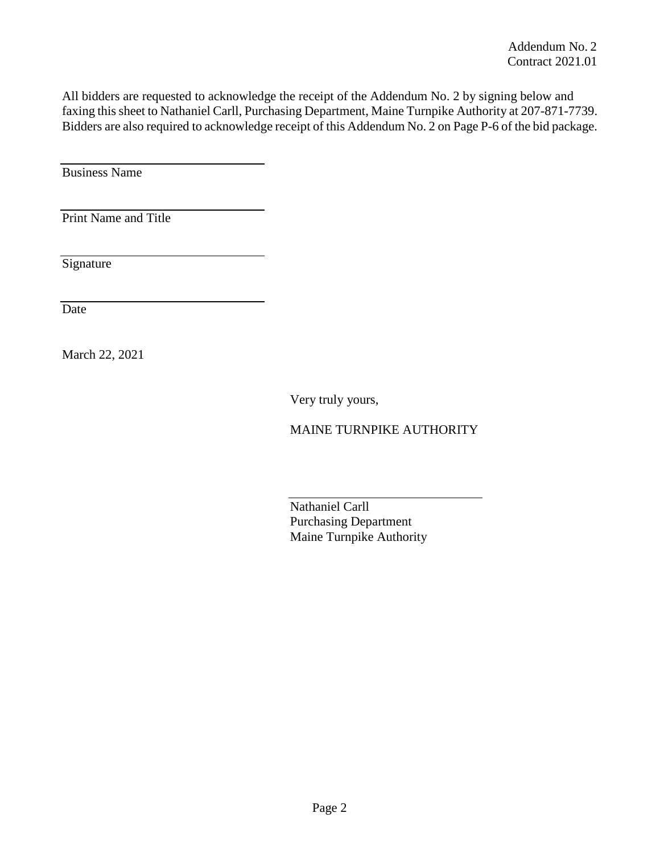All bidders are requested to acknowledge the receipt of the Addendum No. 2 by signing below and faxing this sheet to Nathaniel Carll, Purchasing Department, Maine Turnpike Authority at 207-871-7739. Bidders are also required to acknowledge receipt of this Addendum No. 2 on Page P-6 of the bid package.

Business Name

Print Name and Title

**Signature** 

Date

March 22, 2021

Very truly yours,

MAINE TURNPIKE AUTHORITY

Nathaniel Carll Purchasing Department Maine Turnpike Authority